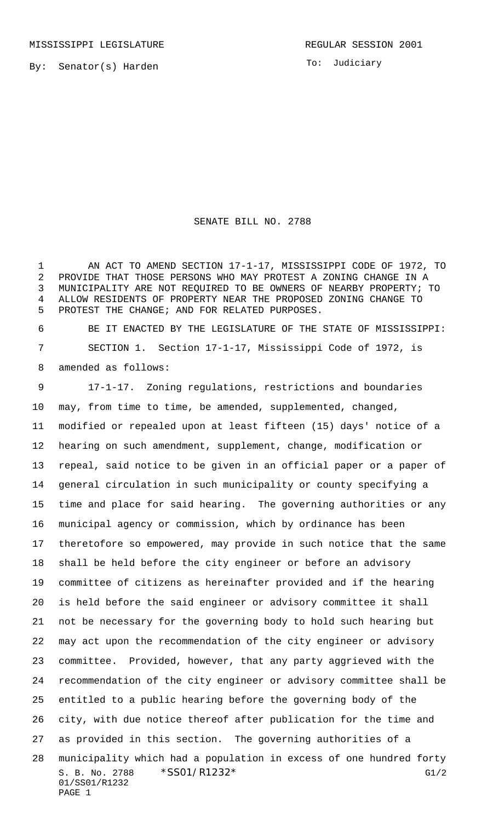To: Judiciary

## SENATE BILL NO. 2788

1 AN ACT TO AMEND SECTION 17-1-17, MISSISSIPPI CODE OF 1972, TO PROVIDE THAT THOSE PERSONS WHO MAY PROTEST A ZONING CHANGE IN A MUNICIPALITY ARE NOT REQUIRED TO BE OWNERS OF NEARBY PROPERTY; TO ALLOW RESIDENTS OF PROPERTY NEAR THE PROPOSED ZONING CHANGE TO PROTEST THE CHANGE; AND FOR RELATED PURPOSES.

 BE IT ENACTED BY THE LEGISLATURE OF THE STATE OF MISSISSIPPI: SECTION 1. Section 17-1-17, Mississippi Code of 1972, is amended as follows:

S. B. No. 2788 \* SSO1/R1232\* G1/2 01/SS01/R1232 PAGE 1 17-1-17. Zoning regulations, restrictions and boundaries may, from time to time, be amended, supplemented, changed, modified or repealed upon at least fifteen (15) days' notice of a hearing on such amendment, supplement, change, modification or repeal, said notice to be given in an official paper or a paper of general circulation in such municipality or county specifying a time and place for said hearing. The governing authorities or any municipal agency or commission, which by ordinance has been theretofore so empowered, may provide in such notice that the same shall be held before the city engineer or before an advisory committee of citizens as hereinafter provided and if the hearing is held before the said engineer or advisory committee it shall not be necessary for the governing body to hold such hearing but may act upon the recommendation of the city engineer or advisory committee. Provided, however, that any party aggrieved with the recommendation of the city engineer or advisory committee shall be entitled to a public hearing before the governing body of the city, with due notice thereof after publication for the time and as provided in this section. The governing authorities of a municipality which had a population in excess of one hundred forty